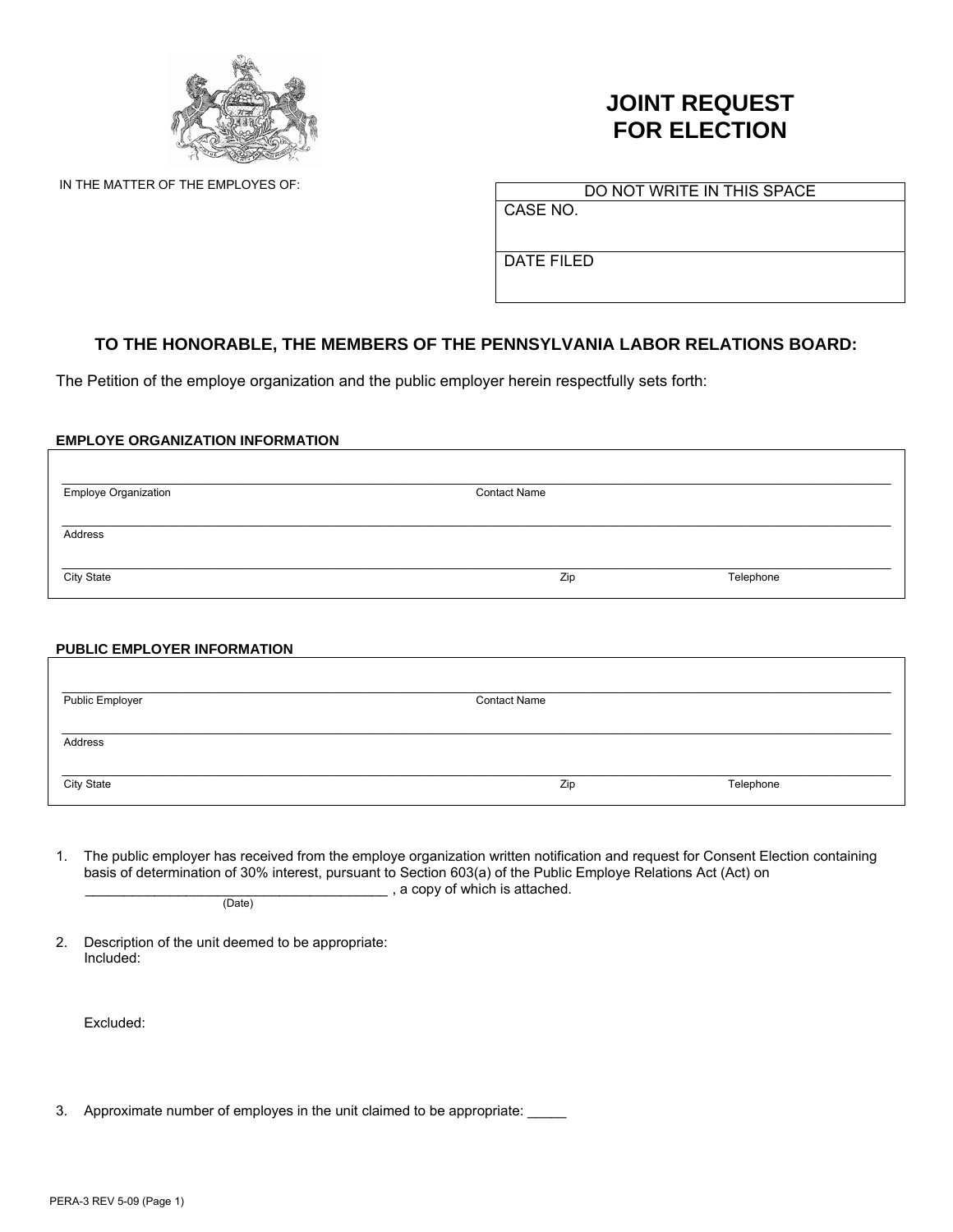

# **JOINT REQUEST FOR ELECTION**

IN THE MATTER OF THE EMPLOYES OF: DO NOT WRITE IN THIS SPACE

CASE NO.

DATE FILED

## **TO THE HONORABLE, THE MEMBERS OF THE PENNSYLVANIA LABOR RELATIONS BOARD:**

The Petition of the employe organization and the public employer herein respectfully sets forth:

### **EMPLOYE ORGANIZATION INFORMATION**

| <b>Employe Organization</b> | <b>Contact Name</b> |           |
|-----------------------------|---------------------|-----------|
| Address                     |                     |           |
|                             |                     |           |
| City State                  | Zip                 | Telephone |

### **PUBLIC EMPLOYER INFORMATION**

| Public Employer   | <b>Contact Name</b> |           |
|-------------------|---------------------|-----------|
| Address           |                     |           |
|                   |                     |           |
| <b>City State</b> | Zip                 | Telephone |

1. The public employer has received from the employe organization written notification and request for Consent Election containing basis of determination of 30% interest, pursuant to Section 603(a) of the Public Employe Relations Act (Act) on  $\frac{1}{(Date)}$ , a copy of which is attached.

2. Description of the unit deemed to be appropriate: Included:

Excluded:

3. Approximate number of employes in the unit claimed to be appropriate: \_\_\_\_\_